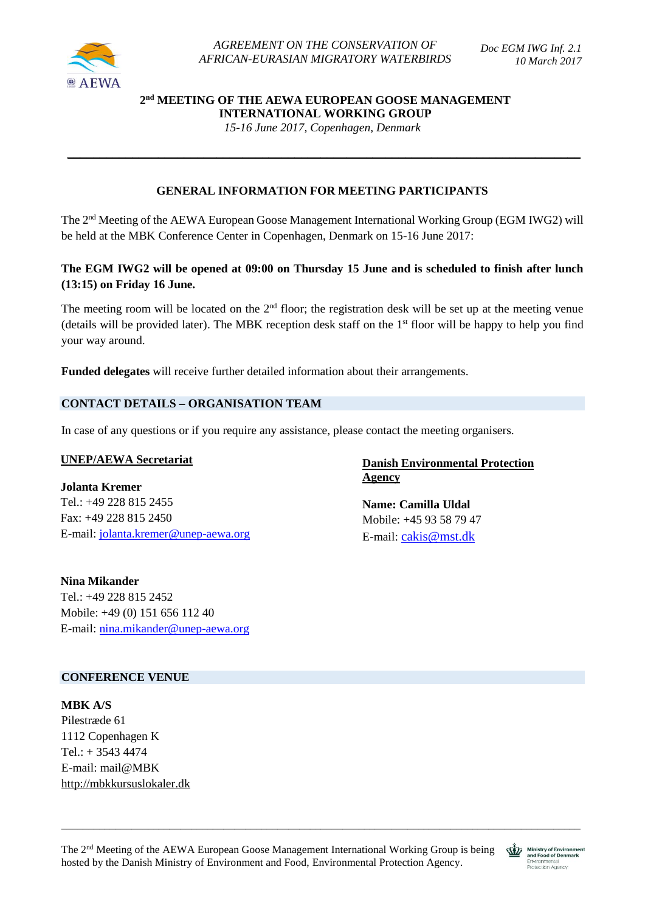

# **2 nd MEETING OF THE AEWA EUROPEAN GOOSE MANAGEMENT INTERNATIONAL WORKING GROUP**

*15-16 June 2017, Copenhagen, Denmark*

\_\_\_\_\_\_\_\_\_\_\_\_\_\_\_\_\_\_\_\_\_\_\_\_\_\_\_\_\_\_\_\_\_\_\_\_\_\_\_\_\_\_\_\_\_\_\_\_\_\_\_\_\_\_\_\_\_\_\_\_\_\_\_\_\_\_\_\_\_\_\_\_\_\_\_\_\_\_\_

# **GENERAL INFORMATION FOR MEETING PARTICIPANTS**

The 2<sup>nd</sup> Meeting of the AEWA European Goose Management International Working Group (EGM IWG2) will be held at the MBK Conference Center in Copenhagen, Denmark on 15-16 June 2017:

# **The EGM IWG2 will be opened at 09:00 on Thursday 15 June and is scheduled to finish after lunch (13:15) on Friday 16 June.**

The meeting room will be located on the  $2<sup>nd</sup>$  floor; the registration desk will be set up at the meeting venue (details will be provided later). The MBK reception desk staff on the 1st floor will be happy to help you find your way around.

**Funded delegates** will receive further detailed information about their arrangements.

## **CONTACT DETAILS – ORGANISATION TEAM**

In case of any questions or if you require any assistance, please contact the meeting organisers.

#### **UNEP/AEWA Secretariat**

**Jolanta Kremer** Tel.: +49 228 815 2455 Fax: +49 228 815 2450 E-mail: [jolanta.kremer@unep-aewa.org](mailto:jolanta.kremer@unep-aewa.org)

**Nina Mikander** Tel.: +49 228 815 2452 Mobile: +49 (0) 151 656 112 40 E-mail: [nina.mikander@unep-aewa.org](mailto:nina.mikander@unep-aewa.org)

# **Danish Environmental Protection Agency**

**Name: Camilla Uldal** Mobile: +45 93 58 79 47 E-mail: [cakis@mst.dk](mailto:cakis@mst.dk)

#### **CONFERENCE VENUE**

**MBK A/S** Pilestræde 61 1112 Copenhagen K  $Tel.: + 35434474$ E-mail: mail@MBK [http://mbkkursuslokaler.dk](http://mbkkursuslokaler.dk/)

The 2nd Meeting of the AEWA European Goose Management International Working Group is being hosted by the Danish Ministry of Environment and Food, Environmental Protection Agency.

\_\_\_\_\_\_\_\_\_\_\_\_\_\_\_\_\_\_\_\_\_\_\_\_\_\_\_\_\_\_\_\_\_\_\_\_\_\_\_\_\_\_\_\_\_\_\_\_\_\_\_\_\_\_\_\_\_\_\_\_\_\_\_\_\_\_\_\_\_\_\_\_\_\_\_\_\_\_\_\_\_\_\_\_\_\_\_\_\_\_\_\_\_\_\_\_

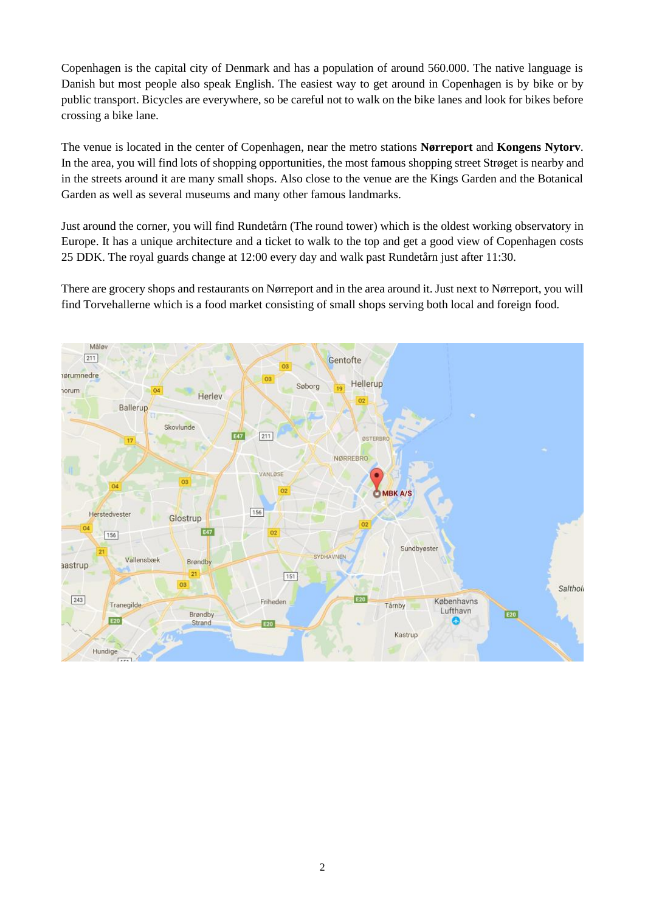Copenhagen is the capital city of Denmark and has a population of around 560.000. The native language is Danish but most people also speak English. The easiest way to get around in Copenhagen is by bike or by public transport. Bicycles are everywhere, so be careful not to walk on the bike lanes and look for bikes before crossing a bike lane.

The venue is located in the center of Copenhagen, near the metro stations **Nørreport** and **Kongens Nytorv**. In the area, you will find lots of shopping opportunities, the most famous shopping street Strøget is nearby and in the streets around it are many small shops. Also close to the venue are the Kings Garden and the Botanical Garden as well as several museums and many other famous landmarks.

Just around the corner, you will find Rundetårn (The round tower) which is the oldest working observatory in Europe. It has a unique architecture and a ticket to walk to the top and get a good view of Copenhagen costs 25 DDK. The royal guards change at 12:00 every day and walk past Rundetårn just after 11:30.

There are grocery shops and restaurants on Nørreport and in the area around it. Just next to Nørreport, you will find Torvehallerne which is a food market consisting of small shops serving both local and foreign food.

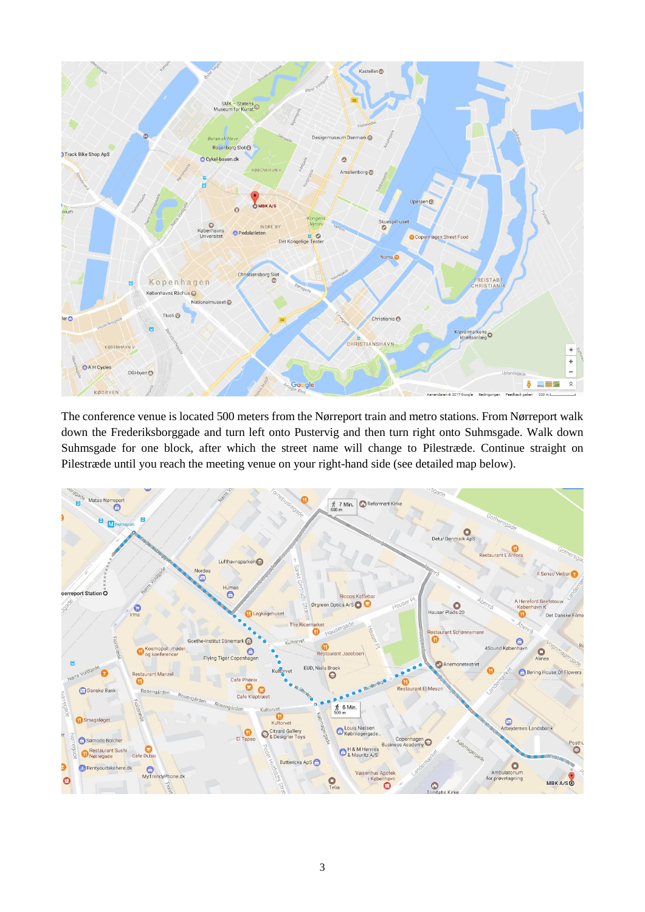

The conference venue is located 500 meters from the Nørreport train and metro stations. From Nørreport walk down the Frederiksborggade and turn left onto Pustervig and then turn right onto Suhmsgade. Walk down Suhmsgade for one block, after which the street name will change to Pilestræde. Continue straight on Pilestræde until you reach the meeting venue on your right-hand side (see detailed map below).

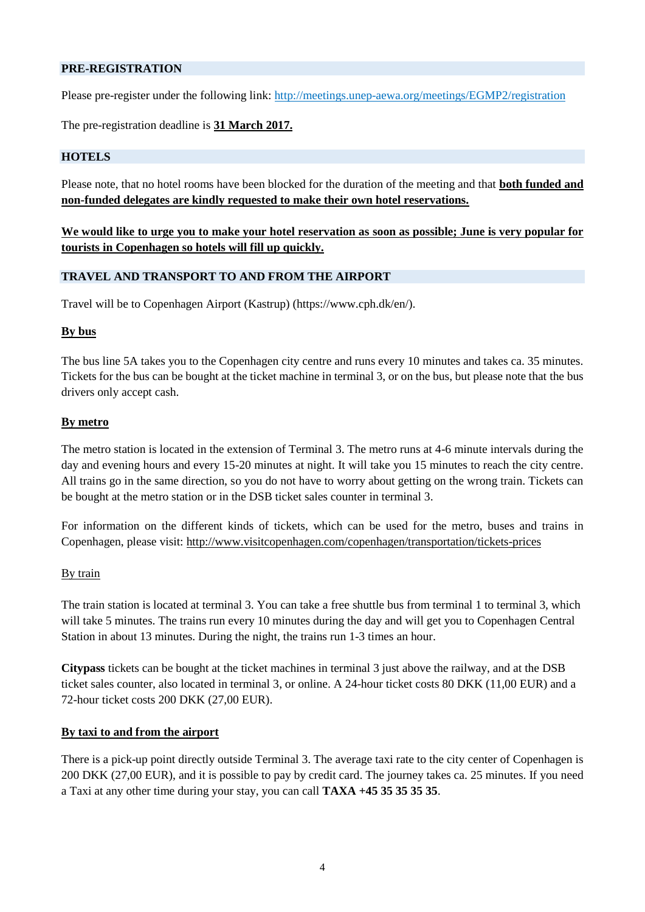## **PRE-REGISTRATION**

Please pre-register under the following link:<http://meetings.unep-aewa.org/meetings/EGMP2/registration>

The pre-registration deadline is **31 March 2017.**

#### **HOTELS**

Please note, that no hotel rooms have been blocked for the duration of the meeting and that **both funded and non-funded delegates are kindly requested to make their own hotel reservations.** 

**We would like to urge you to make your hotel reservation as soon as possible; June is very popular for tourists in Copenhagen so hotels will fill up quickly.**

## **TRAVEL AND TRANSPORT TO AND FROM THE AIRPORT**

Travel will be to Copenhagen Airport (Kastrup) [\(https://www.cph.dk/en/\)](https://www.cph.dk/en/).

#### **By bus**

The bus line 5A takes you to the Copenhagen city centre and runs every 10 minutes and takes ca. 35 minutes. Tickets for the bus can be bought at the ticket machine in terminal 3, or on the bus, but please note that the bus drivers only accept cash.

## **By metro**

The metro station is located in the extension of Terminal 3. The metro runs at 4-6 minute intervals during the day and evening hours and every 15-20 minutes at night. It will take you 15 minutes to reach the city centre. All trains go in the same direction, so you do not have to worry about getting on the wrong train. Tickets can be bought at the metro station or in the DSB ticket sales counter in terminal 3.

For information on the different kinds of tickets, which can be used for the metro, buses and trains in Copenhagen, please visit: <http://www.visitcopenhagen.com/copenhagen/transportation/tickets-prices>

#### By train

The train station is located at terminal 3. You can take a free shuttle bus from terminal 1 to terminal 3, which will take 5 minutes. The trains run every 10 minutes during the day and will get you to Copenhagen Central Station in about 13 minutes. During the night, the trains run 1-3 times an hour.

**Citypass** tickets can be bought at the ticket machines in terminal 3 just above the railway, and at the DSB ticket sales counter, also located in terminal 3, or online. A 24-hour ticket costs 80 DKK (11,00 EUR) and a 72-hour ticket costs 200 DKK (27,00 EUR).

#### **By taxi to and from the airport**

There is a pick-up point directly outside Terminal 3. The average taxi rate to the city center of Copenhagen is 200 DKK (27,00 EUR), and it is possible to pay by credit card. The journey takes ca. 25 minutes. If you need a Taxi at any other time during your stay, you can call **TAXA +45 35 35 35 35**.